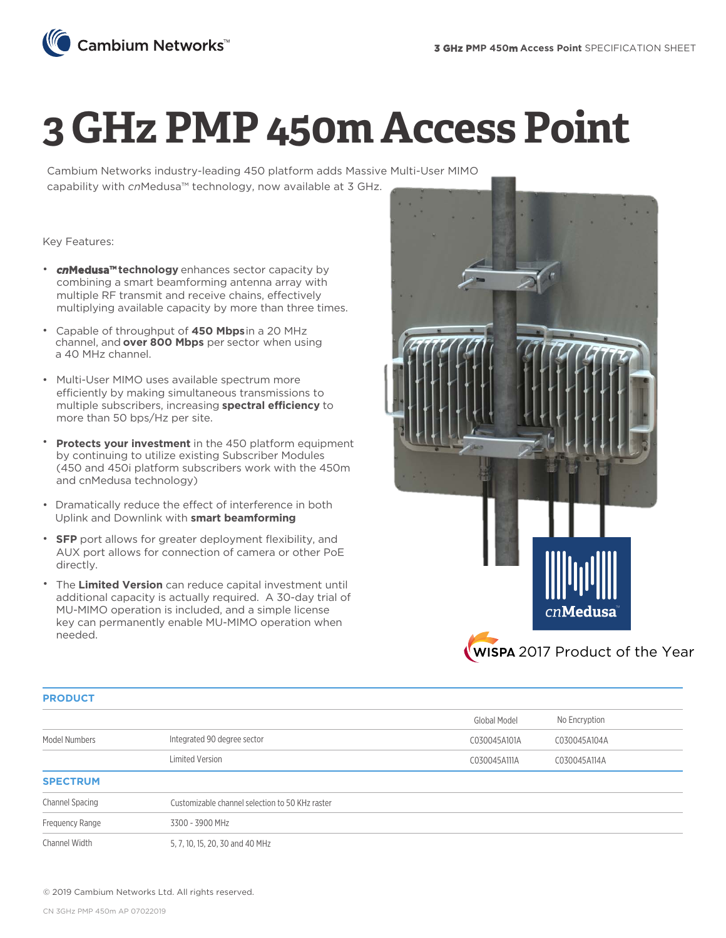

# **3 GHz PMP 450m Access Point**

Cambium Networks industry-leading 450 platform adds Massive Multi-User MIMO capability with *cn*Medusa™ technology, now available at 3 GHz.

#### Key Features:

- *cn***Medusa™technology** enhances sector capacity by combining a smart beamforming antenna array with multiple RF transmit and receive chains, effectively multiplying available capacity by more than three times.
- Capable of throughput of **450 Mbps** in a 20 MHz channel, and **over 800 Mbps** per sector when using a 40 MHz channel.
- Multi-User MIMO uses available spectrum more efficiently by making simultaneous transmissions to multiple subscribers, increasing **spectral efficiency** to more than 50 bps/Hz per site.
- **Protects your investment** in the 450 platform equipment by continuing to utilize existing Subscriber Modules (450 and 450i platform subscribers work with the 450m and cnMedusa technology)
- Dramatically reduce the effect of interference in both Uplink and Downlink with **smart beamforming**
- **SFP** port allows for greater deployment flexibility, and AUX port allows for connection of camera or other PoE directly.
- The **Limited Version** can reduce capital investment until additional capacity is actually required. A 30-day trial of MU-MIMO operation is included, and a simple license key can permanently enable MU-MIMO operation when needed.



### WISPA 2017 Product of the Year

| <b>PRODUCT</b>         |                                                 |              |               |
|------------------------|-------------------------------------------------|--------------|---------------|
|                        |                                                 | Global Model | No Encryption |
| Model Numbers          | Integrated 90 degree sector                     | C030045A101A | C030045A104A  |
|                        | Limited Version                                 | C030045A111A | C030045A114A  |
| <b>SPECTRUM</b>        |                                                 |              |               |
| <b>Channel Spacing</b> | Customizable channel selection to 50 KHz raster |              |               |
| Frequency Range        | 3300 - 3900 MHz                                 |              |               |
| Channel Width          | 5, 7, 10, 15, 20, 30 and 40 MHz                 |              |               |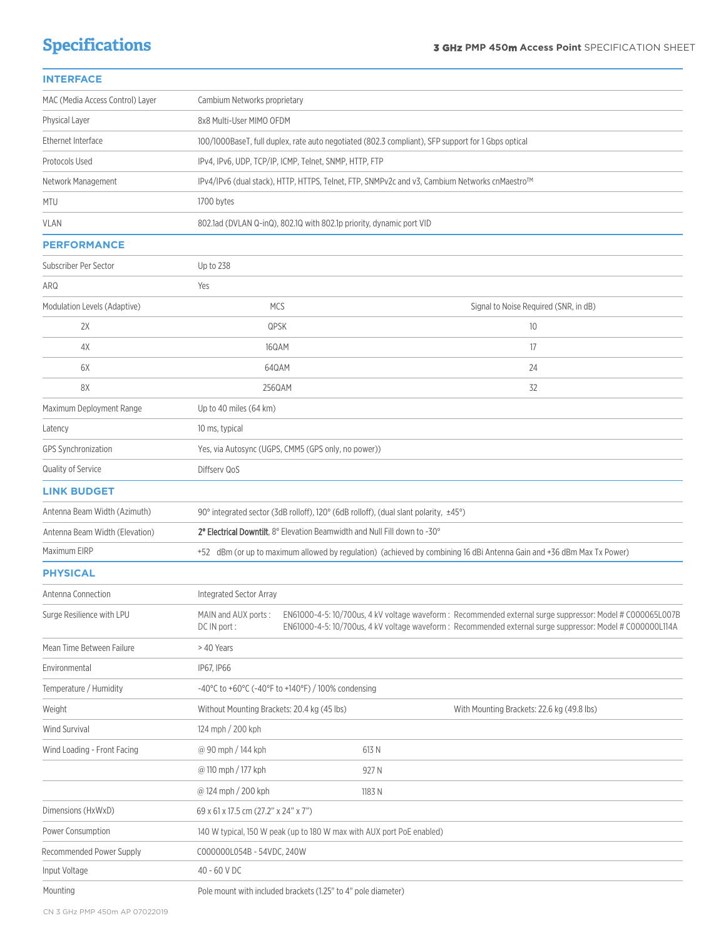# **Specifications**

| <b>INTERFACE</b>                 |                                                                                                    |                                                                                               |                                                                                                                                                                                                                          |  |
|----------------------------------|----------------------------------------------------------------------------------------------------|-----------------------------------------------------------------------------------------------|--------------------------------------------------------------------------------------------------------------------------------------------------------------------------------------------------------------------------|--|
| MAC (Media Access Control) Layer | Cambium Networks proprietary                                                                       |                                                                                               |                                                                                                                                                                                                                          |  |
| Physical Layer                   | 8x8 Multi-User MIMO OFDM                                                                           |                                                                                               |                                                                                                                                                                                                                          |  |
| Ethernet Interface               | 100/1000BaseT, full duplex, rate auto negotiated (802.3 compliant), SFP support for 1 Gbps optical |                                                                                               |                                                                                                                                                                                                                          |  |
| Protocols Used                   | IPv4, IPv6, UDP, TCP/IP, ICMP, Telnet, SNMP, HTTP, FTP                                             |                                                                                               |                                                                                                                                                                                                                          |  |
| Network Management               |                                                                                                    | IPv4/IPv6 (dual stack), HTTP, HTTPS, Telnet, FTP, SNMPv2c and v3, Cambium Networks cnMaestro™ |                                                                                                                                                                                                                          |  |
| MTU                              | 1700 bytes                                                                                         |                                                                                               |                                                                                                                                                                                                                          |  |
| <b>VLAN</b>                      |                                                                                                    | 802.1ad (DVLAN Q-inQ), 802.1Q with 802.1p priority, dynamic port VID                          |                                                                                                                                                                                                                          |  |
| <b>PERFORMANCE</b>               |                                                                                                    |                                                                                               |                                                                                                                                                                                                                          |  |
| Subscriber Per Sector            | Up to 238                                                                                          |                                                                                               |                                                                                                                                                                                                                          |  |
| ARQ                              | Yes                                                                                                |                                                                                               |                                                                                                                                                                                                                          |  |
| Modulation Levels (Adaptive)     | <b>MCS</b>                                                                                         |                                                                                               | Signal to Noise Required (SNR, in dB)                                                                                                                                                                                    |  |
| 2X                               | QPSK                                                                                               |                                                                                               | 10                                                                                                                                                                                                                       |  |
| 4X                               | 16QAM                                                                                              |                                                                                               | 17                                                                                                                                                                                                                       |  |
| 6X                               | 64QAM                                                                                              |                                                                                               | 24                                                                                                                                                                                                                       |  |
| 8X                               | 256QAM                                                                                             |                                                                                               | 32                                                                                                                                                                                                                       |  |
| Maximum Deployment Range         | Up to 40 miles (64 km)                                                                             |                                                                                               |                                                                                                                                                                                                                          |  |
| Latency                          | 10 ms, typical                                                                                     |                                                                                               |                                                                                                                                                                                                                          |  |
| <b>GPS Synchronization</b>       |                                                                                                    | Yes, via Autosync (UGPS, CMM5 (GPS only, no power))                                           |                                                                                                                                                                                                                          |  |
| Quality of Service               | Diffserv QoS                                                                                       |                                                                                               |                                                                                                                                                                                                                          |  |
| <b>LINK BUDGET</b>               |                                                                                                    |                                                                                               |                                                                                                                                                                                                                          |  |
| Antenna Beam Width (Azimuth)     |                                                                                                    | 90° integrated sector (3dB rolloff), 120° (6dB rolloff), (dual slant polarity, ±45°)          |                                                                                                                                                                                                                          |  |
| Antenna Beam Width (Elevation)   | 2° Electrical Downtilt, 8° Elevation Beamwidth and Null Fill down to -30°                          |                                                                                               |                                                                                                                                                                                                                          |  |
| Maximum EIRP                     |                                                                                                    |                                                                                               | +52 dBm (or up to maximum allowed by regulation) (achieved by combining 16 dBi Antenna Gain and +36 dBm Max Tx Power)                                                                                                    |  |
| <b>PHYSICAL</b>                  |                                                                                                    |                                                                                               |                                                                                                                                                                                                                          |  |
| Antenna Connection               | <b>Integrated Sector Array</b>                                                                     |                                                                                               |                                                                                                                                                                                                                          |  |
| Surge Resilience with LPU        | MAIN and AUX ports:<br>DC IN port:                                                                 |                                                                                               | EN61000-4-5: 10/700us, 4 kV voltage waveform : Recommended external surge suppressor: Model # C000065L007B<br>EN61000-4-5: 10/700us, 4 kV voltage waveform : Recommended external surge suppressor: Model # C000000L114A |  |
| Mean Time Between Failure        | > 40 Years                                                                                         |                                                                                               |                                                                                                                                                                                                                          |  |
| Environmental                    | IP67, IP66                                                                                         |                                                                                               |                                                                                                                                                                                                                          |  |
| Temperature / Humidity           |                                                                                                    | -40°C to +60°C (-40°F to +140°F) / 100% condensing                                            |                                                                                                                                                                                                                          |  |
| Weight                           | Without Mounting Brackets: 20.4 kg (45 lbs)                                                        |                                                                                               | With Mounting Brackets: 22.6 kg (49.8 lbs)                                                                                                                                                                               |  |
| Wind Survival                    | 124 mph / 200 kph                                                                                  |                                                                                               |                                                                                                                                                                                                                          |  |
| Wind Loading - Front Facing      | @ 90 mph / 144 kph                                                                                 | 613N                                                                                          |                                                                                                                                                                                                                          |  |
|                                  | @ 110 mph / 177 kph                                                                                | 927 N                                                                                         |                                                                                                                                                                                                                          |  |
|                                  | @ 124 mph / 200 kph                                                                                | 1183 N                                                                                        |                                                                                                                                                                                                                          |  |
| Dimensions (HxWxD)               | 69 x 61 x 17.5 cm (27.2" x 24" x 7")                                                               |                                                                                               |                                                                                                                                                                                                                          |  |
| Power Consumption                | 140 W typical, 150 W peak (up to 180 W max with AUX port PoE enabled)                              |                                                                                               |                                                                                                                                                                                                                          |  |
| Recommended Power Supply         | C000000L054B - 54VDC, 240W                                                                         |                                                                                               |                                                                                                                                                                                                                          |  |
| Input Voltage                    | 40 - 60 V DC                                                                                       |                                                                                               |                                                                                                                                                                                                                          |  |
| Mounting                         |                                                                                                    | Pole mount with included brackets (1.25" to 4" pole diameter)                                 |                                                                                                                                                                                                                          |  |